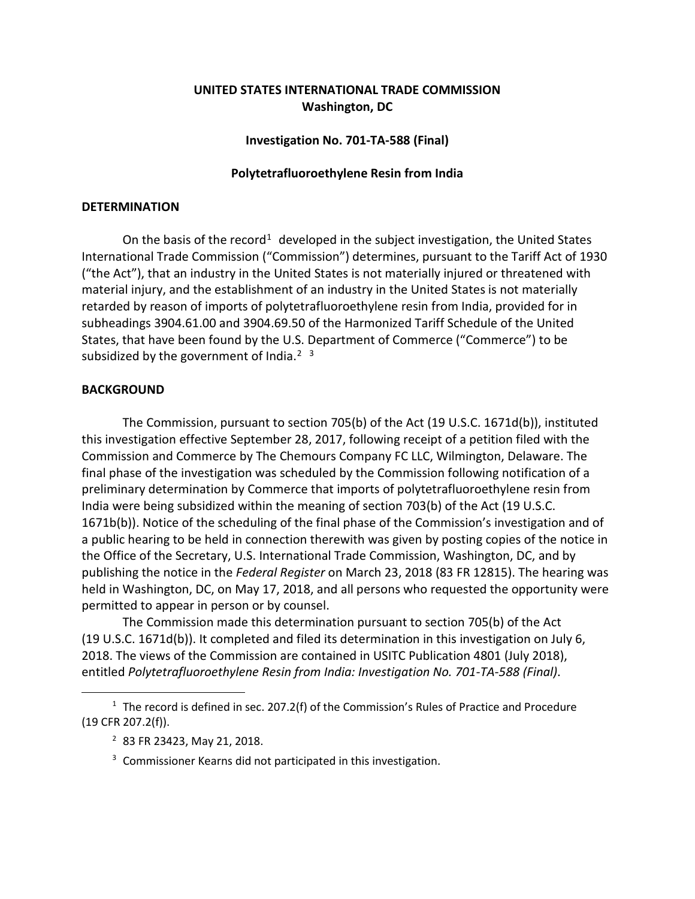# **UNITED STATES INTERNATIONAL TRADE COMMISSION Washington, DC**

### **Investigation No. 701-TA-588 (Final)**

#### **Polytetrafluoroethylene Resin from India**

#### **DETERMINATION**

On the basis of the record<sup>[1](#page-0-0)</sup> developed in the subject investigation, the United States International Trade Commission ("Commission") determines, pursuant to the Tariff Act of 1930 ("the Act"), that an industry in the United States is not materially injured or threatened with material injury, and the establishment of an industry in the United States is not materially retarded by reason of imports of polytetrafluoroethylene resin from India, provided for in subheadings 3904.61.00 and 3904.69.50 of the Harmonized Tariff Schedule of the United States, that have been found by the U.S. Department of Commerce ("Commerce") to be subsidized by the government of India.<sup>[2](#page-0-1)</sup>  $3$ 

## **BACKGROUND**

 $\overline{a}$ 

The Commission, pursuant to section 705(b) of the Act (19 U.S.C. 1671d(b)), instituted this investigation effective September 28, 2017, following receipt of a petition filed with the Commission and Commerce by The Chemours Company FC LLC, Wilmington, Delaware. The final phase of the investigation was scheduled by the Commission following notification of a preliminary determination by Commerce that imports of polytetrafluoroethylene resin from India were being subsidized within the meaning of section 703(b) of the Act (19 U.S.C. 1671b(b)). Notice of the scheduling of the final phase of the Commission's investigation and of a public hearing to be held in connection therewith was given by posting copies of the notice in the Office of the Secretary, U.S. International Trade Commission, Washington, DC, and by publishing the notice in the *Federal Register* on March 23, 2018 (83 FR 12815). The hearing was held in Washington, DC, on May 17, 2018, and all persons who requested the opportunity were permitted to appear in person or by counsel.

The Commission made this determination pursuant to section 705(b) of the Act (19 U.S.C. 1671d(b)). It completed and filed its determination in this investigation on July 6, 2018. The views of the Commission are contained in USITC Publication 4801 (July 2018), entitled *Polytetrafluoroethylene Resin from India: Investigation No. 701-TA-588 (Final)*.

<span id="page-0-2"></span><span id="page-0-1"></span><span id="page-0-0"></span> $1$  The record is defined in sec. 207.2(f) of the Commission's Rules of Practice and Procedure (19 CFR 207.2(f)).

<sup>2</sup> 83 FR 23423, May 21, 2018.

 $3$  Commissioner Kearns did not participated in this investigation.